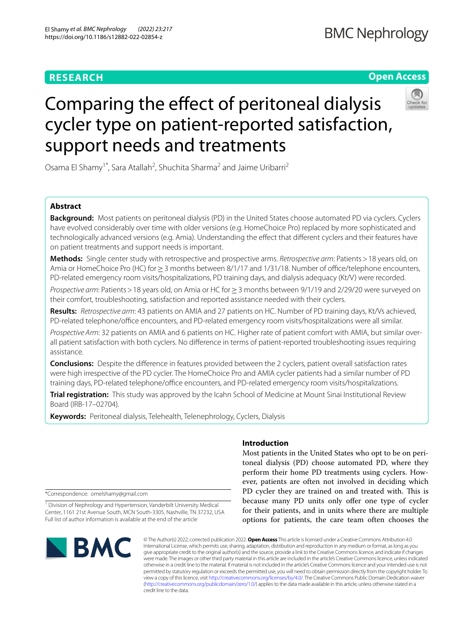# **RESEARCH**

# **Open Access**



# Comparing the effect of peritoneal dialysis cycler type on patient-reported satisfaction, support needs and treatments

Osama El Shamy<sup>1\*</sup>, Sara Atallah<sup>2</sup>, Shuchita Sharma<sup>2</sup> and Jaime Uribarri<sup>2</sup>

# **Abstract**

**Background:** Most patients on peritoneal dialysis (PD) in the United States choose automated PD via cyclers. Cyclers have evolved considerably over time with older versions (e.g. HomeChoice Pro) replaced by more sophisticated and technologically advanced versions (e.g. Amia). Understanding the efect that diferent cyclers and their features have on patient treatments and support needs is important.

**Methods:** Single center study with retrospective and prospective arms. *Retrospective arm*: Patients>18 years old, on Amia or HomeChoice Pro (HC) for ≥ 3 months between 8/1/17 and 1/31/18. Number of office/telephone encounters, PD-related emergency room visits/hospitalizations, PD training days, and dialysis adequacy (Kt/V) were recorded.

*Prospective arm*: Patients > 18 years old, on Amia or HC for ≥ 3 months between 9/1/19 and 2/29/20 were surveyed on their comfort, troubleshooting, satisfaction and reported assistance needed with their cyclers.

**Results:** *Retrospective arm*: 43 patients on AMIA and 27 patients on HC. Number of PD training days, Kt/Vs achieved, PD-related telephone/office encounters, and PD-related emergency room visits/hospitalizations were all similar.

*Prospective Arm*: 32 patients on AMIA and 6 patients on HC. Higher rate of patient comfort with AMIA, but similar overall patient satisfaction with both cyclers. No diference in terms of patient-reported troubleshooting issues requiring assistance.

**Conclusions:** Despite the diference in features provided between the 2 cyclers, patient overall satisfaction rates were high irrespective of the PD cycler. The HomeChoice Pro and AMIA cycler patients had a similar number of PD training days, PD-related telephone/office encounters, and PD-related emergency room visits/hospitalizations.

**Trial registration:** This study was approved by the Icahn School of Medicine at Mount Sinai Institutional Review Board (IRB-17–02704).

**Keywords:** Peritoneal dialysis, Telehealth, Telenephrology, Cyclers, Dialysis

\*Correspondence: omelshamy@gmail.com

<sup>1</sup> Division of Nephrology and Hypertension, Vanderbilt University Medical Center, 1161 21st Avenue South, MCN South-3305, Nashville, TN 37232, USA Full list of author information is available at the end of the article



# **Introduction**

Most patients in the United States who opt to be on peritoneal dialysis (PD) choose automated PD, where they perform their home PD treatments using cyclers. However, patients are often not involved in deciding which PD cycler they are trained on and treated with. This is because many PD units only offer one type of cycler for their patients, and in units where there are multiple options for patients, the care team often chooses the

© The Author(s) 2022, corrected publication 2022. **Open Access** This article is licensed under a Creative Commons Attribution 4.0 International License, which permits use, sharing, adaptation, distribution and reproduction in any medium or format, as long as you give appropriate credit to the original author(s) and the source, provide a link to the Creative Commons licence, and indicate if changes were made. The images or other third party material in this article are included in the article's Creative Commons licence, unless indicated otherwise in a credit line to the material. If material is not included in the article's Creative Commons licence and your intended use is not permitted by statutory regulation or exceeds the permitted use, you will need to obtain permission directly from the copyright holder. To view a copy of this licence, visit [http://creativecommons.org/licenses/by/4.0/.](http://creativecommons.org/licenses/by/4.0/) The Creative Commons Public Domain Dedication waiver [\(http://creativecommons.org/publicdomain/zero/1.0/\)](http://creativecommons.org/publicdomain/zero/1.0/) applies to the data made available in this article, unless otherwise stated in a credit line to the data.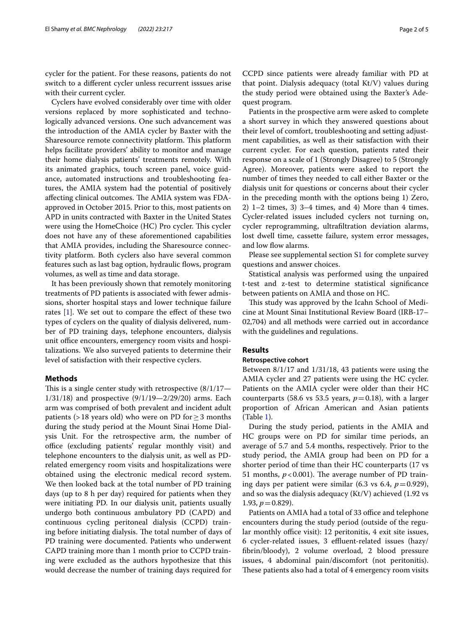cycler for the patient. For these reasons, patients do not switch to a diferent cycler unless recurrent isssues arise with their current cycler.

Cyclers have evolved considerably over time with older versions replaced by more sophisticated and technologically advanced versions. One such advancement was the introduction of the AMIA cycler by Baxter with the Sharesource remote connectivity platform. This platform helps facilitate providers' ability to monitor and manage their home dialysis patients' treatments remotely. With its animated graphics, touch screen panel, voice guidance, automated instructions and troubleshooting features, the AMIA system had the potential of positively affecting clinical outcomes. The AMIA system was FDAapproved in October 2015. Prior to this, most patients on APD in units contracted with Baxter in the United States were using the HomeChoice (HC) Pro cycler. This cycler does not have any of these aforementioned capabilities that AMIA provides, including the Sharesource connectivity platform. Both cyclers also have several common features such as last bag option, hydraulic fows, program volumes, as well as time and data storage.

It has been previously shown that remotely monitoring treatments of PD patients is associated with fewer admissions, shorter hospital stays and lower technique failure rates [[1\]](#page-4-0). We set out to compare the efect of these two types of cyclers on the quality of dialysis delivered, number of PD training days, telephone encounters, dialysis unit office encounters, emergency room visits and hospitalizations. We also surveyed patients to determine their level of satisfaction with their respective cyclers.

#### **Methods**

This is a single center study with retrospective  $(8/1/17)$ — 1/31/18) and prospective (9/1/19—2/29/20) arms. Each arm was comprised of both prevalent and incident adult patients (>18 years old) who were on PD for  $\geq$  3 months during the study period at the Mount Sinai Home Dialysis Unit. For the retrospective arm, the number of office (excluding patients' regular monthly visit) and telephone encounters to the dialysis unit, as well as PDrelated emergency room visits and hospitalizations were obtained using the electronic medical record system. We then looked back at the total number of PD training days (up to 8 h per day) required for patients when they were initiating PD. In our dialysis unit, patients usually undergo both continuous ambulatory PD (CAPD) and continuous cycling peritoneal dialysis (CCPD) training before initiating dialysis. The total number of days of PD training were documented. Patients who underwent CAPD training more than 1 month prior to CCPD training were excluded as the authors hypothesize that this would decrease the number of training days required for CCPD since patients were already familiar with PD at that point. Dialysis adequacy (total Kt/V) values during the study period were obtained using the Baxter's Adequest program.

Patients in the prospective arm were asked to complete a short survey in which they answered questions about their level of comfort, troubleshooting and setting adjustment capabilities, as well as their satisfaction with their current cycler. For each question, patients rated their response on a scale of 1 (Strongly Disagree) to 5 (Strongly Agree). Moreover, patients were asked to report the number of times they needed to call either Baxter or the dialysis unit for questions or concerns about their cycler in the preceding month with the options being 1) Zero, 2) 1–2 times, 3) 3–4 times, and 4) More than 4 times. Cycler-related issues included cyclers not turning on, cycler reprogramming, ultrafltration deviation alarms, lost dwell time, cassette failure, system error messages, and low flow alarms.

Please see supplemental section [S1](#page-4-1) for complete survey questions and answer choices.

Statistical analysis was performed using the unpaired t-test and z-test to determine statistical signifcance between patients on AMIA and those on HC.

This study was approved by the Icahn School of Medicine at Mount Sinai Institutional Review Board (IRB-17– 02,704) and all methods were carried out in accordance with the guidelines and regulations.

## **Results**

## **Retrospective cohort**

Between 8/1/17 and 1/31/18, 43 patients were using the AMIA cycler and 27 patients were using the HC cycler. Patients on the AMIA cycler were older than their HC counterparts (58.6 vs 53.5 years,  $p=0.18$ ), with a larger proportion of African American and Asian patients (Table [1\)](#page-2-0).

During the study period, patients in the AMIA and HC groups were on PD for similar time periods, an average of 5.7 and 5.4 months, respectively. Prior to the study period, the AMIA group had been on PD for a shorter period of time than their HC counterparts (17 vs 51 months,  $p < 0.001$ ). The average number of PD training days per patient were similar  $(6.3 \text{ vs } 6.4, p=0.929)$ , and so was the dialysis adequacy (Kt/V) achieved (1.92 vs 1.93,  $p = 0.829$ ).

Patients on AMIA had a total of 33 office and telephone encounters during the study period (outside of the regular monthly office visit): 12 peritonitis, 4 exit site issues, 6 cycler-related issues, 3 efuent-related issues (hazy/ fbrin/bloody), 2 volume overload, 2 blood pressure issues, 4 abdominal pain/discomfort (not peritonitis). These patients also had a total of 4 emergency room visits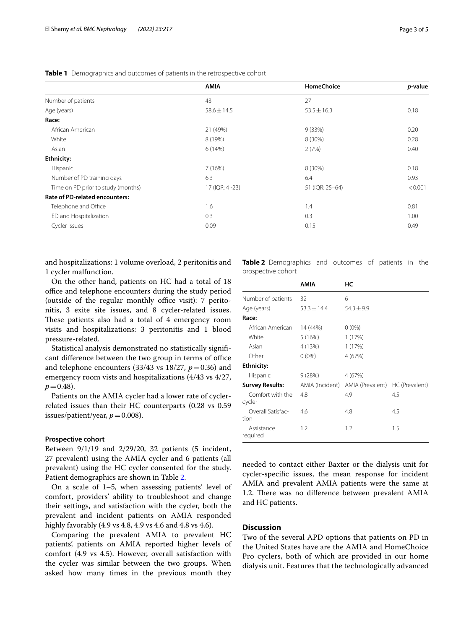|                                       | <b>AMIA</b>     | <b>HomeChoice</b> | p-value |
|---------------------------------------|-----------------|-------------------|---------|
| Number of patients                    | 43              | 27                |         |
| Age (years)                           | $58.6 \pm 14.5$ | $53.5 \pm 16.3$   | 0.18    |
| Race:                                 |                 |                   |         |
| African American                      | 21 (49%)        | 9(33%)            | 0.20    |
| White                                 | 8 (19%)         | 8 (30%)           | 0.28    |
| Asian                                 | 6(14%)          | 2(7%)             | 0.40    |
| <b>Ethnicity:</b>                     |                 |                   |         |
| Hispanic                              | 7(16%)          | 8 (30%)           | 0.18    |
| Number of PD training days            | 6.3             | 6.4               | 0.93    |
| Time on PD prior to study (months)    | 17 (IQR: 4 -23) | 51 (IQR: 25-64)   | < 0.001 |
| <b>Rate of PD-related encounters:</b> |                 |                   |         |
| Telephone and Office                  | 1.6             | 1.4               | 0.81    |
| ED and Hospitalization                | 0.3             | 0.3               | 1.00    |
| Cycler issues                         | 0.09            | 0.15              | 0.49    |

<span id="page-2-0"></span>**Table 1** Demographics and outcomes of patients in the retrospective cohort

and hospitalizations: 1 volume overload, 2 peritonitis and 1 cycler malfunction.

On the other hand, patients on HC had a total of 18 office and telephone encounters during the study period (outside of the regular monthly office visit):  $7$  peritonitis, 3 exite site issues, and 8 cycler-related issues. These patients also had a total of 4 emergency room visits and hospitalizations: 3 peritonitis and 1 blood pressure-related.

Statistical analysis demonstrated no statistically signifcant difference between the two group in terms of office and telephone encounters  $(33/43 \text{ vs } 18/27, p=0.36)$  and emergency room vists and hospitalizations (4/43 vs 4/27,  $p = 0.48$ ).

Patients on the AMIA cycler had a lower rate of cyclerrelated issues than their HC counterparts (0.28 vs 0.59 issues/patient/year,  $p = 0.008$ ).

#### **Prospective cohort**

Between 9/1/19 and 2/29/20, 32 patients (5 incident, 27 prevalent) using the AMIA cycler and 6 patients (all prevalent) using the HC cycler consented for the study. Patient demographics are shown in Table [2.](#page-2-1)

On a scale of 1–5, when assessing patients' level of comfort, providers' ability to troubleshoot and change their settings, and satisfaction with the cycler, both the prevalent and incident patients on AMIA responded highly favorably (4.9 vs 4.8, 4.9 vs 4.6 and 4.8 vs 4.6).

Comparing the prevalent AMIA to prevalent HC patients', patients on AMIA reported higher levels of comfort (4.9 vs 4.5). However, overall satisfaction with the cycler was similar between the two groups. When asked how many times in the previous month they <span id="page-2-1"></span>**Table 2** Demographics and outcomes of patients in the prospective cohort

|                            | AMIA            | НC                                              |         |
|----------------------------|-----------------|-------------------------------------------------|---------|
| Number of patients         | 32              | 6                                               |         |
| Age (years)                | $53.3 \pm 14.4$ | $54.3 \pm 9.9$                                  |         |
| Race:                      |                 |                                                 |         |
| African American           | 14 (44%)        | $0(0\%)$                                        |         |
| White                      | 5(16%)          | 1(17%)                                          |         |
| Asian                      | 4 (13%)         | 1(17%)                                          |         |
| Other                      | $0(0\%)$        | 4 (67%)                                         |         |
| <b>Ethnicity:</b>          |                 |                                                 |         |
| Hispanic                   | 9(28%)          | 4 (67%)                                         |         |
| <b>Survey Results:</b>     |                 | AMIA (Incident) AMIA (Prevalent) HC (Prevalent) |         |
| Comfort with the<br>cycler | 4.8             | 4.9                                             | 4.5     |
| Overall Satisfac-          | 4.6             | 4.8                                             | 4.5     |
| tion                       |                 |                                                 |         |
| Assistance<br>required     | 1.2             | 1.2                                             | $1.5\,$ |

needed to contact either Baxter or the dialysis unit for cycler-specifc issues, the mean response for incident AMIA and prevalent AMIA patients were the same at 1.2. There was no difference between prevalent AMIA and HC patients.

## **Discussion**

Two of the several APD options that patients on PD in the United States have are the AMIA and HomeChoice Pro cyclers, both of which are provided in our home dialysis unit. Features that the technologically advanced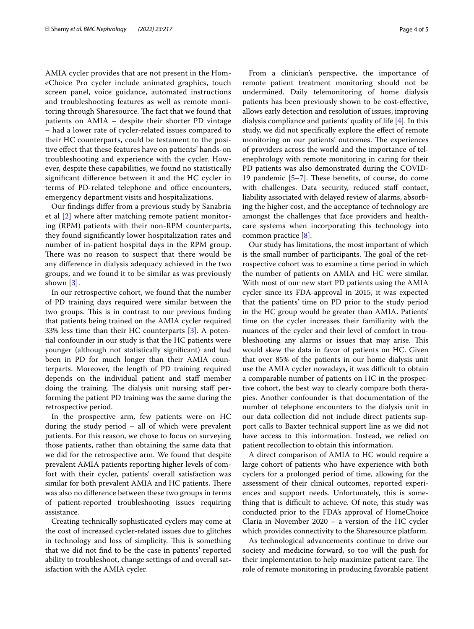AMIA cycler provides that are not present in the HomeChoice Pro cycler include animated graphics, touch screen panel, voice guidance, automated instructions and troubleshooting features as well as remote monitoring through Sharesource. The fact that we found that patients on AMIA – despite their shorter PD vintage – had a lower rate of cycler-related issues compared to their HC counterparts, could be testament to the positive efect that these features have on patients' hands-on troubleshooting and experience with the cycler. However, despite these capabilities, we found no statistically signifcant diference between it and the HC cycler in terms of PD-related telephone and office encounters, emergency department visits and hospitalizations.

Our fndings difer from a previous study by Sanabria et al [[2\]](#page-4-2) where after matching remote patient monitoring (RPM) patients with their non-RPM counterparts, they found signifcantly lower hospitalization rates and number of in-patient hospital days in the RPM group. There was no reason to suspect that there would be any diference in dialysis adequacy achieved in the two groups, and we found it to be similar as was previously shown [[3](#page-4-3)].

In our retrospective cohort, we found that the number of PD training days required were similar between the two groups. This is in contrast to our previous finding that patients being trained on the AMIA cycler required 33% less time than their HC counterparts [\[3\]](#page-4-3). A potential confounder in our study is that the HC patients were younger (although not statistically signifcant) and had been in PD for much longer than their AMIA counterparts. Moreover, the length of PD training required depends on the individual patient and staf member doing the training. The dialysis unit nursing staff performing the patient PD training was the same during the retrospective period.

In the prospective arm, few patients were on HC during the study period – all of which were prevalent patients. For this reason, we chose to focus on surveying those patients, rather than obtaining the same data that we did for the retrospective arm. We found that despite prevalent AMIA patients reporting higher levels of comfort with their cycler, patients' overall satisfaction was similar for both prevalent AMIA and HC patients. There was also no diference between these two groups in terms of patient-reported troubleshooting issues requiring assistance.

Creating technically sophisticated cyclers may come at the cost of increased cycler-related issues due to glitches in technology and loss of simplicity. This is something that we did not fnd to be the case in patients' reported ability to troubleshoot, change settings of and overall satisfaction with the AMIA cycler.

From a clinician's perspective, the importance of remote patient treatment monitoring should not be undermined. Daily telemonitoring of home dialysis patients has been previously shown to be cost-efective, allows early detection and resolution of issues, improving dialysis compliance and patients' quality of life [[4\]](#page-4-4). In this study, we did not specifcally explore the efect of remote monitoring on our patients' outcomes. The experiences of providers across the world and the importance of telenephrology with remote monitoring in caring for their PD patients was also demonstrated during the COVID-19 pandemic  $[5-7]$  $[5-7]$ . These benefits, of course, do come with challenges. Data security, reduced staff contact, liability associated with delayed review of alarms, absorbing the higher cost, and the acceptance of technology are amongst the challenges that face providers and healthcare systems when incorporating this technology into common practice [[8\]](#page-4-7).

Our study has limitations, the most important of which is the small number of participants. The goal of the retrospective cohort was to examine a time period in which the number of patients on AMIA and HC were similar. With most of our new start PD patients using the AMIA cycler since its FDA-approval in 2015, it was expected that the patients' time on PD prior to the study period in the HC group would be greater than AMIA. Patients' time on the cycler increases their familiarity with the nuances of the cycler and their level of comfort in troubleshooting any alarms or issues that may arise. This would skew the data in favor of patients on HC. Given that over 85% of the patients in our home dialysis unit use the AMIA cycler nowadays, it was difficult to obtain a comparable number of patients on HC in the prospective cohort, the best way to clearly compare both therapies. Another confounder is that documentation of the number of telephone encounters to the dialysis unit in our data collection did not include direct patients support calls to Baxter technical support line as we did not have access to this information. Instead, we relied on patient recollection to obtain this information.

A direct comparison of AMIA to HC would require a large cohort of patients who have experience with both cyclers for a prolonged period of time, allowing for the assessment of their clinical outcomes, reported experiences and support needs. Unfortunately, this is something that is difficult to achieve. Of note, this study was conducted prior to the FDA's approval of HomeChoice Claria in November 2020 – a version of the HC cycler which provides connectivity to the Sharesource platform.

As technological advancements continue to drive our society and medicine forward, so too will the push for their implementation to help maximize patient care. The role of remote monitoring in producing favorable patient